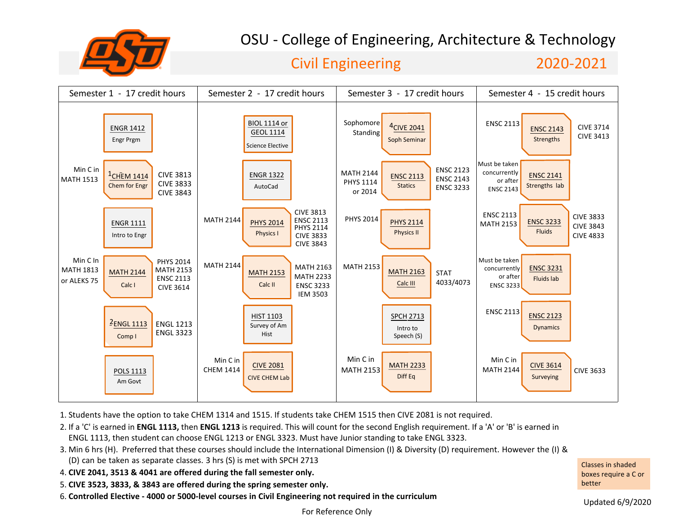

# OSU - College of Engineering, Architecture & Technology

### Civil Engineering 2020-2021



1. Students have the option to take CHEM 1314 and 1515. If students take CHEM 1515 then CIVE 2081 is not required.

2. If a 'C' is earned in **ENGL 1113,** then **ENGL 1213** is required. This will count for the second English requirement. If a 'A' or 'B' is earned in ENGL 1113, then student can choose ENGL 1213 or ENGL 3323. Must have Junior standing to take ENGL 3323.

- 3. Min 6 hrs (H). Preferred that these courses should include the International Dimension (I) & Diversity (D) requirement. However the (I) & (D) can be taken as separate classes. 3 hrs (S) is met with SPCH 2713
- 4. **CIVE 2041, 3513 & 4041 are offered during the fall semester only.**
- 5. **CIVE 3523, 3833, & 3843 are offered during the spring semester only.**
- 6. **Controlled Elective 4000 or 5000-level courses in Civil Engineering not required in the curriculum**

Classes in shaded boxes require a C or better